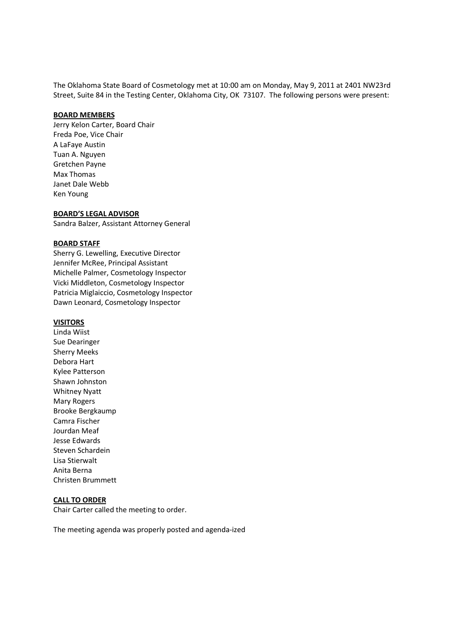The Oklahoma State Board of Cosmetology met at 10:00 am on Monday, May 9, 2011 at 2401 NW23rd Street, Suite 84 in the Testing Center, Oklahoma City, OK 73107. The following persons were present:

#### **BOARD MEMBERS**

Jerry Kelon Carter, Board Chair Freda Poe, Vice Chair A LaFaye Austin Tuan A. Nguyen Gretchen Payne Max Thomas Janet Dale Webb Ken Young

#### **BOARD'S LEGAL ADVISOR**

Sandra Balzer, Assistant Attorney General

#### **BOARD STAFF**

Sherry G. Lewelling, Executive Director Jennifer McRee, Principal Assistant Michelle Palmer, Cosmetology Inspector Vicki Middleton, Cosmetology Inspector Patricia Miglaiccio, Cosmetology Inspector Dawn Leonard, Cosmetology Inspector

# **VISITORS**

Linda Wiist Sue Dearinger Sherry Meeks Debora Hart Kylee Patterson Shawn Johnston Whitney Nyatt Mary Rogers Brooke Bergkaump Camra Fischer Jourdan Meaf Jesse Edwards Steven Schardein Lisa Stierwalt Anita Berna Christen Brummett

#### **CALL TO ORDER**

Chair Carter called the meeting to order.

The meeting agenda was properly posted and agenda-ized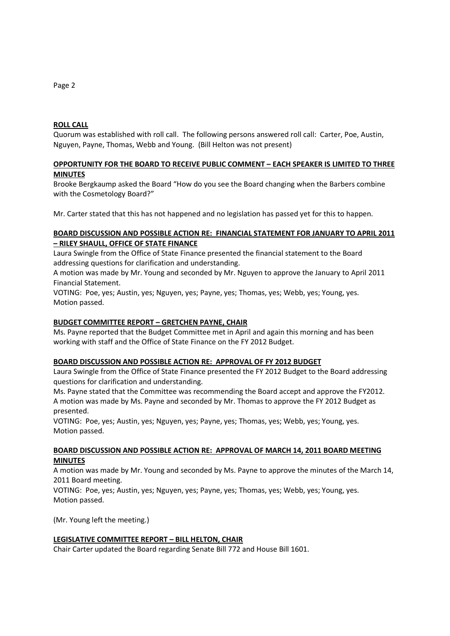## **ROLL CALL**

Quorum was established with roll call. The following persons answered roll call: Carter, Poe, Austin, Nguyen, Payne, Thomas, Webb and Young. (Bill Helton was not present)

## **OPPORTUNITY FOR THE BOARD TO RECEIVE PUBLIC COMMENT – EACH SPEAKER IS LIMITED TO THREE MINUTES**

Brooke Bergkaump asked the Board "How do you see the Board changing when the Barbers combine with the Cosmetology Board?"

Mr. Carter stated that this has not happened and no legislation has passed yet for this to happen.

## **BOARD DISCUSSION AND POSSIBLE ACTION RE: FINANCIAL STATEMENT FOR JANUARY TO APRIL 2011 – RILEY SHAULL, OFFICE OF STATE FINANCE**

Laura Swingle from the Office of State Finance presented the financial statement to the Board addressing questions for clarification and understanding.

A motion was made by Mr. Young and seconded by Mr. Nguyen to approve the January to April 2011 Financial Statement.

VOTING: Poe, yes; Austin, yes; Nguyen, yes; Payne, yes; Thomas, yes; Webb, yes; Young, yes. Motion passed.

# **BUDGET COMMITTEE REPORT – GRETCHEN PAYNE, CHAIR**

Ms. Payne reported that the Budget Committee met in April and again this morning and has been working with staff and the Office of State Finance on the FY 2012 Budget.

## **BOARD DISCUSSION AND POSSIBLE ACTION RE: APPROVAL OF FY 2012 BUDGET**

Laura Swingle from the Office of State Finance presented the FY 2012 Budget to the Board addressing questions for clarification and understanding.

Ms. Payne stated that the Committee was recommending the Board accept and approve the FY2012. A motion was made by Ms. Payne and seconded by Mr. Thomas to approve the FY 2012 Budget as presented.

VOTING: Poe, yes; Austin, yes; Nguyen, yes; Payne, yes; Thomas, yes; Webb, yes; Young, yes. Motion passed.

## **BOARD DISCUSSION AND POSSIBLE ACTION RE: APPROVAL OF MARCH 14, 2011 BOARD MEETING MINUTES**

A motion was made by Mr. Young and seconded by Ms. Payne to approve the minutes of the March 14, 2011 Board meeting.

VOTING: Poe, yes; Austin, yes; Nguyen, yes; Payne, yes; Thomas, yes; Webb, yes; Young, yes. Motion passed.

(Mr. Young left the meeting.)

## **LEGISLATIVE COMMITTEE REPORT – BILL HELTON, CHAIR**

Chair Carter updated the Board regarding Senate Bill 772 and House Bill 1601.

#### Page 2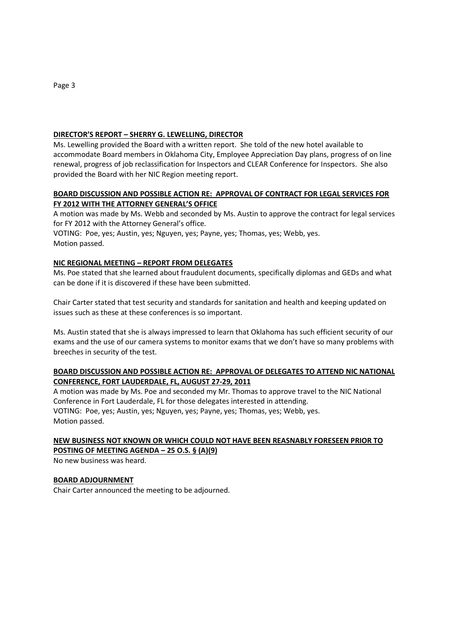# **DIRECTOR'S REPORT – SHERRY G. LEWELLING, DIRECTOR**

Ms. Lewelling provided the Board with a written report. She told of the new hotel available to accommodate Board members in Oklahoma City, Employee Appreciation Day plans, progress of on line renewal, progress of job reclassification for Inspectors and CLEAR Conference for Inspectors. She also provided the Board with her NIC Region meeting report.

# **BOARD DISCUSSION AND POSSIBLE ACTION RE: APPROVAL OF CONTRACT FOR LEGAL SERVICES FOR FY 2012 WITH THE ATTORNEY GENERAL'S OFFICE**

A motion was made by Ms. Webb and seconded by Ms. Austin to approve the contract for legal services for FY 2012 with the Attorney General's office.

VOTING: Poe, yes; Austin, yes; Nguyen, yes; Payne, yes; Thomas, yes; Webb, yes. Motion passed.

## **NIC REGIONAL MEETING – REPORT FROM DELEGATES**

Ms. Poe stated that she learned about fraudulent documents, specifically diplomas and GEDs and what can be done if it is discovered if these have been submitted.

Chair Carter stated that test security and standards for sanitation and health and keeping updated on issues such as these at these conferences is so important.

Ms. Austin stated that she is always impressed to learn that Oklahoma has such efficient security of our exams and the use of our camera systems to monitor exams that we don't have so many problems with breeches in security of the test.

## **BOARD DISCUSSION AND POSSIBLE ACTION RE: APPROVAL OF DELEGATES TO ATTEND NIC NATIONAL CONFERENCE, FORT LAUDERDALE, FL, AUGUST 27-29, 2011**

A motion was made by Ms. Poe and seconded my Mr. Thomas to approve travel to the NIC National Conference in Fort Lauderdale, FL for those delegates interested in attending. VOTING: Poe, yes; Austin, yes; Nguyen, yes; Payne, yes; Thomas, yes; Webb, yes. Motion passed.

# **NEW BUSINESS NOT KNOWN OR WHICH COULD NOT HAVE BEEN REASNABLY FORESEEN PRIOR TO POSTING OF MEETING AGENDA – 25 O.S. § (A)(9)**

No new business was heard.

## **BOARD ADJOURNMENT**

Chair Carter announced the meeting to be adjourned.

Page 3